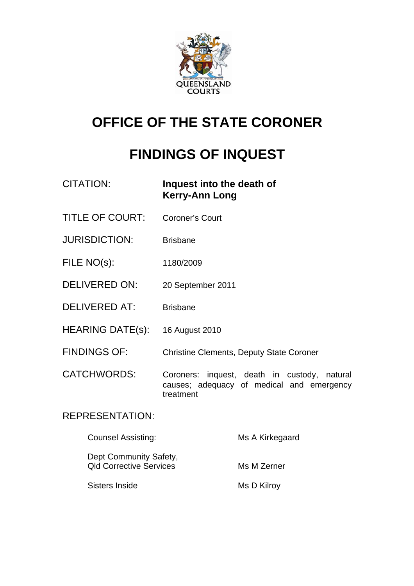

# **OFFICE OF THE STATE CORONER**

# **FINDINGS OF INQUEST**

| <b>CITATION:</b>        | Inquest into the death of<br><b>Kerry-Ann Long</b>                                                        |
|-------------------------|-----------------------------------------------------------------------------------------------------------|
| <b>TITLE OF COURT:</b>  | <b>Coroner's Court</b>                                                                                    |
| <b>JURISDICTION:</b>    | <b>Brisbane</b>                                                                                           |
| FILE NO(s):             | 1180/2009                                                                                                 |
| <b>DELIVERED ON:</b>    | 20 September 2011                                                                                         |
| <b>DELIVERED AT:</b>    | <b>Brisbane</b>                                                                                           |
| <b>HEARING DATE(s):</b> | 16 August 2010                                                                                            |
| <b>FINDINGS OF:</b>     | <b>Christine Clements, Deputy State Coroner</b>                                                           |
| <b>CATCHWORDS:</b>      | Coroners: inquest, death in custody,<br>natural<br>causes; adequacy of medical and emergency<br>treatment |
| <b>REPRESENTATION:</b>  |                                                                                                           |

| <b>Counsel Assisting:</b>                                | Ms A Kirkegaard |
|----------------------------------------------------------|-----------------|
| Dept Community Safety,<br><b>Qld Corrective Services</b> | Ms M Zerner     |
| Sisters Inside                                           | Ms D Kilroy     |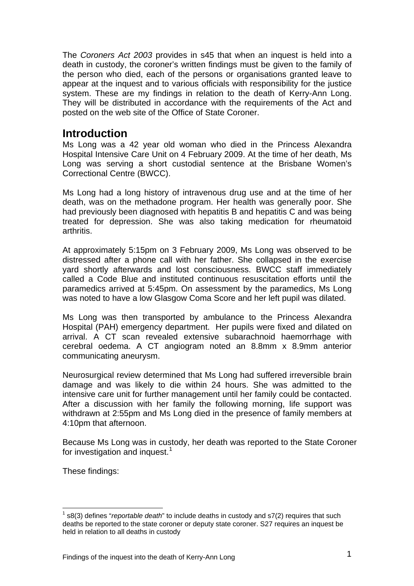The *Coroners Act 2003* provides in s45 that when an inquest is held into a death in custody, the coroner's written findings must be given to the family of the person who died, each of the persons or organisations granted leave to appear at the inquest and to various officials with responsibility for the justice system. These are my findings in relation to the death of Kerry-Ann Long. They will be distributed in accordance with the requirements of the Act and posted on the web site of the Office of State Coroner.

## **Introduction**

Ms Long was a 42 year old woman who died in the Princess Alexandra Hospital Intensive Care Unit on 4 February 2009. At the time of her death, Ms Long was serving a short custodial sentence at the Brisbane Women's Correctional Centre (BWCC).

Ms Long had a long history of intravenous drug use and at the time of her death, was on the methadone program. Her health was generally poor. She had previously been diagnosed with hepatitis B and hepatitis C and was being treated for depression. She was also taking medication for rheumatoid arthritis.

At approximately 5:15pm on 3 February 2009, Ms Long was observed to be distressed after a phone call with her father. She collapsed in the exercise yard shortly afterwards and lost consciousness. BWCC staff immediately called a Code Blue and instituted continuous resuscitation efforts until the paramedics arrived at 5:45pm. On assessment by the paramedics, Ms Long was noted to have a low Glasgow Coma Score and her left pupil was dilated.

Ms Long was then transported by ambulance to the Princess Alexandra Hospital (PAH) emergency department. Her pupils were fixed and dilated on arrival. A CT scan revealed extensive subarachnoid haemorrhage with cerebral oedema. A CT angiogram noted an 8.8mm x 8.9mm anterior communicating aneurysm.

Neurosurgical review determined that Ms Long had suffered irreversible brain damage and was likely to die within 24 hours. She was admitted to the intensive care unit for further management until her family could be contacted. After a discussion with her family the following morning, life support was withdrawn at 2:55pm and Ms Long died in the presence of family members at 4:10pm that afternoon.

Because Ms Long was in custody, her death was reported to the State Coroner for investigation and inquest.<sup>[1](#page-1-0)</sup>

These findings:

<span id="page-1-0"></span> $\overline{1}$ l 1 s8(3) defines "*reportable death*" to include deaths in custody and s7(2) requires that such deaths be reported to the state coroner or deputy state coroner. S27 requires an inquest be held in relation to all deaths in custody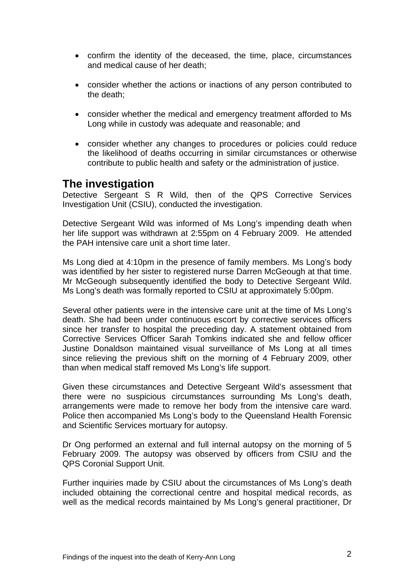- confirm the identity of the deceased, the time, place, circumstances and medical cause of her death;
- consider whether the actions or inactions of any person contributed to the death;
- consider whether the medical and emergency treatment afforded to Ms Long while in custody was adequate and reasonable; and
- consider whether any changes to procedures or policies could reduce the likelihood of deaths occurring in similar circumstances or otherwise contribute to public health and safety or the administration of justice.

### **The investigation**

Detective Sergeant S R Wild, then of the QPS Corrective Services Investigation Unit (CSIU), conducted the investigation.

Detective Sergeant Wild was informed of Ms Long's impending death when her life support was withdrawn at 2:55pm on 4 February 2009. He attended the PAH intensive care unit a short time later.

Ms Long died at 4:10pm in the presence of family members. Ms Long's body was identified by her sister to registered nurse Darren McGeough at that time. Mr McGeough subsequently identified the body to Detective Sergeant Wild. Ms Long's death was formally reported to CSIU at approximately 5:00pm.

Several other patients were in the intensive care unit at the time of Ms Long's death. She had been under continuous escort by corrective services officers since her transfer to hospital the preceding day. A statement obtained from Corrective Services Officer Sarah Tomkins indicated she and fellow officer Justine Donaldson maintained visual surveillance of Ms Long at all times since relieving the previous shift on the morning of 4 February 2009, other than when medical staff removed Ms Long's life support.

Given these circumstances and Detective Sergeant Wild's assessment that there were no suspicious circumstances surrounding Ms Long's death, arrangements were made to remove her body from the intensive care ward. Police then accompanied Ms Long's body to the Queensland Health Forensic and Scientific Services mortuary for autopsy.

Dr Ong performed an external and full internal autopsy on the morning of 5 February 2009. The autopsy was observed by officers from CSIU and the QPS Coronial Support Unit.

Further inquiries made by CSIU about the circumstances of Ms Long's death included obtaining the correctional centre and hospital medical records, as well as the medical records maintained by Ms Long's general practitioner, Dr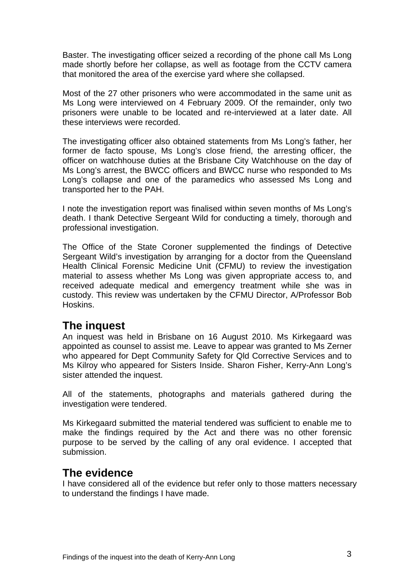Baster. The investigating officer seized a recording of the phone call Ms Long made shortly before her collapse, as well as footage from the CCTV camera that monitored the area of the exercise yard where she collapsed.

Most of the 27 other prisoners who were accommodated in the same unit as Ms Long were interviewed on 4 February 2009. Of the remainder, only two prisoners were unable to be located and re-interviewed at a later date. All these interviews were recorded.

The investigating officer also obtained statements from Ms Long's father, her former de facto spouse, Ms Long's close friend, the arresting officer, the officer on watchhouse duties at the Brisbane City Watchhouse on the day of Ms Long's arrest, the BWCC officers and BWCC nurse who responded to Ms Long's collapse and one of the paramedics who assessed Ms Long and transported her to the PAH.

I note the investigation report was finalised within seven months of Ms Long's death. I thank Detective Sergeant Wild for conducting a timely, thorough and professional investigation.

The Office of the State Coroner supplemented the findings of Detective Sergeant Wild's investigation by arranging for a doctor from the Queensland Health Clinical Forensic Medicine Unit (CFMU) to review the investigation material to assess whether Ms Long was given appropriate access to, and received adequate medical and emergency treatment while she was in custody. This review was undertaken by the CFMU Director, A/Professor Bob Hoskins.

## **The inquest**

An inquest was held in Brisbane on 16 August 2010. Ms Kirkegaard was appointed as counsel to assist me. Leave to appear was granted to Ms Zerner who appeared for Dept Community Safety for Qld Corrective Services and to Ms Kilroy who appeared for Sisters Inside. Sharon Fisher, Kerry-Ann Long's sister attended the inquest.

All of the statements, photographs and materials gathered during the investigation were tendered.

Ms Kirkegaard submitted the material tendered was sufficient to enable me to make the findings required by the Act and there was no other forensic purpose to be served by the calling of any oral evidence. I accepted that submission.

# **The evidence**

I have considered all of the evidence but refer only to those matters necessary to understand the findings I have made.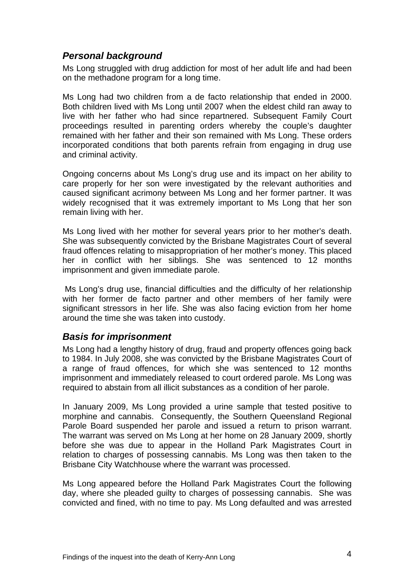#### *Personal background*

Ms Long struggled with drug addiction for most of her adult life and had been on the methadone program for a long time.

Ms Long had two children from a de facto relationship that ended in 2000. Both children lived with Ms Long until 2007 when the eldest child ran away to live with her father who had since repartnered. Subsequent Family Court proceedings resulted in parenting orders whereby the couple's daughter remained with her father and their son remained with Ms Long. These orders incorporated conditions that both parents refrain from engaging in drug use and criminal activity.

Ongoing concerns about Ms Long's drug use and its impact on her ability to care properly for her son were investigated by the relevant authorities and caused significant acrimony between Ms Long and her former partner. It was widely recognised that it was extremely important to Ms Long that her son remain living with her.

Ms Long lived with her mother for several years prior to her mother's death. She was subsequently convicted by the Brisbane Magistrates Court of several fraud offences relating to misappropriation of her mother's money. This placed her in conflict with her siblings. She was sentenced to 12 months imprisonment and given immediate parole.

 Ms Long's drug use, financial difficulties and the difficulty of her relationship with her former de facto partner and other members of her family were significant stressors in her life. She was also facing eviction from her home around the time she was taken into custody.

#### *Basis for imprisonment*

Ms Long had a lengthy history of drug, fraud and property offences going back to 1984. In July 2008, she was convicted by the Brisbane Magistrates Court of a range of fraud offences, for which she was sentenced to 12 months imprisonment and immediately released to court ordered parole. Ms Long was required to abstain from all illicit substances as a condition of her parole.

In January 2009, Ms Long provided a urine sample that tested positive to morphine and cannabis. Consequently, the Southern Queensland Regional Parole Board suspended her parole and issued a return to prison warrant. The warrant was served on Ms Long at her home on 28 January 2009, shortly before she was due to appear in the Holland Park Magistrates Court in relation to charges of possessing cannabis. Ms Long was then taken to the Brisbane City Watchhouse where the warrant was processed.

Ms Long appeared before the Holland Park Magistrates Court the following day, where she pleaded guilty to charges of possessing cannabis. She was convicted and fined, with no time to pay. Ms Long defaulted and was arrested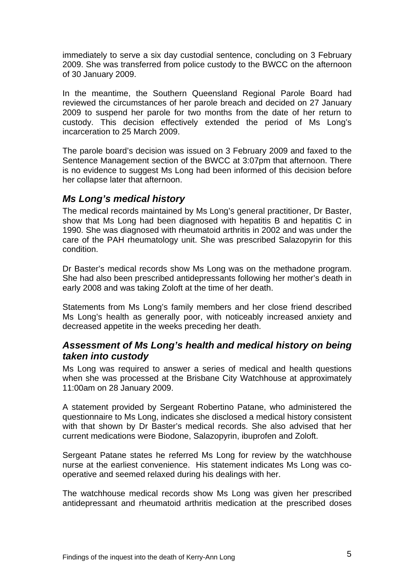immediately to serve a six day custodial sentence, concluding on 3 February 2009. She was transferred from police custody to the BWCC on the afternoon of 30 January 2009.

In the meantime, the Southern Queensland Regional Parole Board had reviewed the circumstances of her parole breach and decided on 27 January 2009 to suspend her parole for two months from the date of her return to custody. This decision effectively extended the period of Ms Long's incarceration to 25 March 2009.

The parole board's decision was issued on 3 February 2009 and faxed to the Sentence Management section of the BWCC at 3:07pm that afternoon. There is no evidence to suggest Ms Long had been informed of this decision before her collapse later that afternoon.

#### *Ms Long's medical history*

The medical records maintained by Ms Long's general practitioner, Dr Baster, show that Ms Long had been diagnosed with hepatitis B and hepatitis C in 1990. She was diagnosed with rheumatoid arthritis in 2002 and was under the care of the PAH rheumatology unit. She was prescribed Salazopyrin for this condition.

Dr Baster's medical records show Ms Long was on the methadone program. She had also been prescribed antidepressants following her mother's death in early 2008 and was taking Zoloft at the time of her death.

Statements from Ms Long's family members and her close friend described Ms Long's health as generally poor, with noticeably increased anxiety and decreased appetite in the weeks preceding her death.

#### *Assessment of Ms Long's health and medical history on being taken into custody*

Ms Long was required to answer a series of medical and health questions when she was processed at the Brisbane City Watchhouse at approximately 11:00am on 28 January 2009.

A statement provided by Sergeant Robertino Patane, who administered the questionnaire to Ms Long, indicates she disclosed a medical history consistent with that shown by Dr Baster's medical records. She also advised that her current medications were Biodone, Salazopyrin, ibuprofen and Zoloft.

Sergeant Patane states he referred Ms Long for review by the watchhouse nurse at the earliest convenience. His statement indicates Ms Long was cooperative and seemed relaxed during his dealings with her.

The watchhouse medical records show Ms Long was given her prescribed antidepressant and rheumatoid arthritis medication at the prescribed doses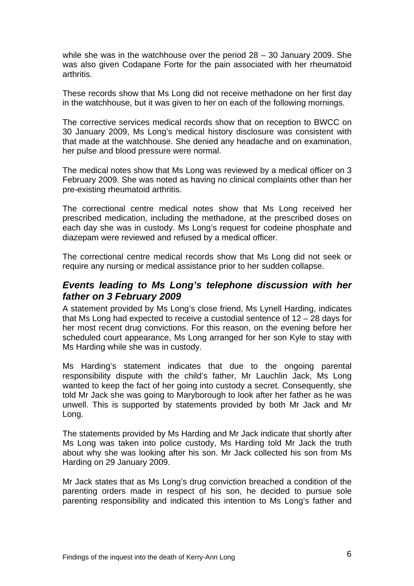while she was in the watchhouse over the period 28 – 30 January 2009. She was also given Codapane Forte for the pain associated with her rheumatoid arthritis.

These records show that Ms Long did not receive methadone on her first day in the watchhouse, but it was given to her on each of the following mornings.

The corrective services medical records show that on reception to BWCC on 30 January 2009, Ms Long's medical history disclosure was consistent with that made at the watchhouse. She denied any headache and on examination, her pulse and blood pressure were normal.

The medical notes show that Ms Long was reviewed by a medical officer on 3 February 2009. She was noted as having no clinical complaints other than her pre-existing rheumatoid arthritis.

The correctional centre medical notes show that Ms Long received her prescribed medication, including the methadone, at the prescribed doses on each day she was in custody. Ms Long's request for codeine phosphate and diazepam were reviewed and refused by a medical officer.

The correctional centre medical records show that Ms Long did not seek or require any nursing or medical assistance prior to her sudden collapse.

#### *Events leading to Ms Long's telephone discussion with her father on 3 February 2009*

A statement provided by Ms Long's close friend, Ms Lynell Harding, indicates that Ms Long had expected to receive a custodial sentence of 12 – 28 days for her most recent drug convictions. For this reason, on the evening before her scheduled court appearance, Ms Long arranged for her son Kyle to stay with Ms Harding while she was in custody.

Ms Harding's statement indicates that due to the ongoing parental responsibility dispute with the child's father, Mr Lauchlin Jack, Ms Long wanted to keep the fact of her going into custody a secret. Consequently, she told Mr Jack she was going to Maryborough to look after her father as he was unwell. This is supported by statements provided by both Mr Jack and Mr Long.

The statements provided by Ms Harding and Mr Jack indicate that shortly after Ms Long was taken into police custody, Ms Harding told Mr Jack the truth about why she was looking after his son. Mr Jack collected his son from Ms Harding on 29 January 2009.

Mr Jack states that as Ms Long's drug conviction breached a condition of the parenting orders made in respect of his son, he decided to pursue sole parenting responsibility and indicated this intention to Ms Long's father and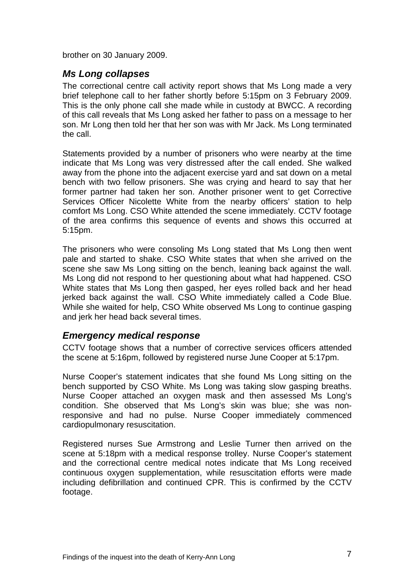brother on 30 January 2009.

#### *Ms Long collapses*

The correctional centre call activity report shows that Ms Long made a very brief telephone call to her father shortly before 5:15pm on 3 February 2009. This is the only phone call she made while in custody at BWCC. A recording of this call reveals that Ms Long asked her father to pass on a message to her son. Mr Long then told her that her son was with Mr Jack. Ms Long terminated the call.

Statements provided by a number of prisoners who were nearby at the time indicate that Ms Long was very distressed after the call ended. She walked away from the phone into the adjacent exercise yard and sat down on a metal bench with two fellow prisoners. She was crying and heard to say that her former partner had taken her son. Another prisoner went to get Corrective Services Officer Nicolette White from the nearby officers' station to help comfort Ms Long. CSO White attended the scene immediately. CCTV footage of the area confirms this sequence of events and shows this occurred at 5:15pm.

The prisoners who were consoling Ms Long stated that Ms Long then went pale and started to shake. CSO White states that when she arrived on the scene she saw Ms Long sitting on the bench, leaning back against the wall. Ms Long did not respond to her questioning about what had happened. CSO White states that Ms Long then gasped, her eyes rolled back and her head jerked back against the wall. CSO White immediately called a Code Blue. While she waited for help, CSO White observed Ms Long to continue gasping and jerk her head back several times.

#### *Emergency medical response*

CCTV footage shows that a number of corrective services officers attended the scene at 5:16pm, followed by registered nurse June Cooper at 5:17pm.

Nurse Cooper's statement indicates that she found Ms Long sitting on the bench supported by CSO White. Ms Long was taking slow gasping breaths. Nurse Cooper attached an oxygen mask and then assessed Ms Long's condition. She observed that Ms Long's skin was blue; she was nonresponsive and had no pulse. Nurse Cooper immediately commenced cardiopulmonary resuscitation.

Registered nurses Sue Armstrong and Leslie Turner then arrived on the scene at 5:18pm with a medical response trolley. Nurse Cooper's statement and the correctional centre medical notes indicate that Ms Long received continuous oxygen supplementation, while resuscitation efforts were made including defibrillation and continued CPR. This is confirmed by the CCTV footage.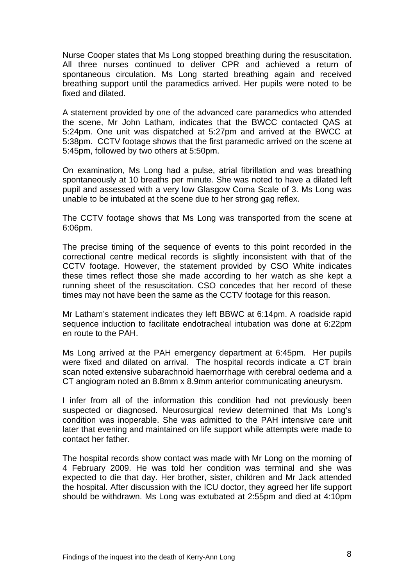Nurse Cooper states that Ms Long stopped breathing during the resuscitation. All three nurses continued to deliver CPR and achieved a return of spontaneous circulation. Ms Long started breathing again and received breathing support until the paramedics arrived. Her pupils were noted to be fixed and dilated.

A statement provided by one of the advanced care paramedics who attended the scene, Mr John Latham, indicates that the BWCC contacted QAS at 5:24pm. One unit was dispatched at 5:27pm and arrived at the BWCC at 5:38pm. CCTV footage shows that the first paramedic arrived on the scene at 5:45pm, followed by two others at 5:50pm.

On examination, Ms Long had a pulse, atrial fibrillation and was breathing spontaneously at 10 breaths per minute. She was noted to have a dilated left pupil and assessed with a very low Glasgow Coma Scale of 3. Ms Long was unable to be intubated at the scene due to her strong gag reflex.

The CCTV footage shows that Ms Long was transported from the scene at 6:06pm.

The precise timing of the sequence of events to this point recorded in the correctional centre medical records is slightly inconsistent with that of the CCTV footage. However, the statement provided by CSO White indicates these times reflect those she made according to her watch as she kept a running sheet of the resuscitation. CSO concedes that her record of these times may not have been the same as the CCTV footage for this reason.

Mr Latham's statement indicates they left BBWC at 6:14pm. A roadside rapid sequence induction to facilitate endotracheal intubation was done at 6:22pm en route to the PAH.

Ms Long arrived at the PAH emergency department at 6:45pm. Her pupils were fixed and dilated on arrival. The hospital records indicate a CT brain scan noted extensive subarachnoid haemorrhage with cerebral oedema and a CT angiogram noted an 8.8mm x 8.9mm anterior communicating aneurysm.

I infer from all of the information this condition had not previously been suspected or diagnosed. Neurosurgical review determined that Ms Long's condition was inoperable. She was admitted to the PAH intensive care unit later that evening and maintained on life support while attempts were made to contact her father.

The hospital records show contact was made with Mr Long on the morning of 4 February 2009. He was told her condition was terminal and she was expected to die that day. Her brother, sister, children and Mr Jack attended the hospital. After discussion with the ICU doctor, they agreed her life support should be withdrawn. Ms Long was extubated at 2:55pm and died at 4:10pm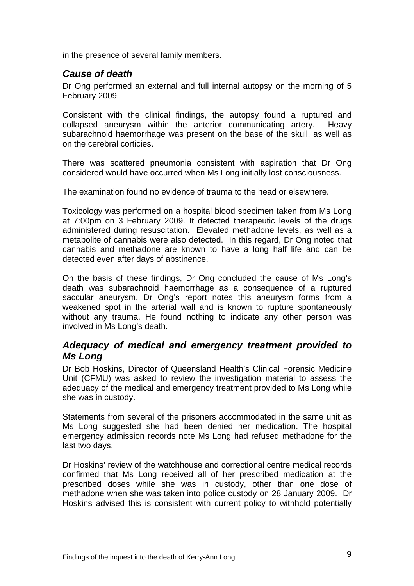in the presence of several family members.

#### *Cause of death*

Dr Ong performed an external and full internal autopsy on the morning of 5 February 2009.

Consistent with the clinical findings, the autopsy found a ruptured and collapsed aneurysm within the anterior communicating artery. Heavy subarachnoid haemorrhage was present on the base of the skull, as well as on the cerebral corticies.

There was scattered pneumonia consistent with aspiration that Dr Ong considered would have occurred when Ms Long initially lost consciousness.

The examination found no evidence of trauma to the head or elsewhere.

Toxicology was performed on a hospital blood specimen taken from Ms Long at 7:00pm on 3 February 2009. It detected therapeutic levels of the drugs administered during resuscitation. Elevated methadone levels, as well as a metabolite of cannabis were also detected. In this regard, Dr Ong noted that cannabis and methadone are known to have a long half life and can be detected even after days of abstinence.

On the basis of these findings, Dr Ong concluded the cause of Ms Long's death was subarachnoid haemorrhage as a consequence of a ruptured saccular aneurysm. Dr Ong's report notes this aneurysm forms from a weakened spot in the arterial wall and is known to rupture spontaneously without any trauma. He found nothing to indicate any other person was involved in Ms Long's death.

#### *Adequacy of medical and emergency treatment provided to Ms Long*

Dr Bob Hoskins, Director of Queensland Health's Clinical Forensic Medicine Unit (CFMU) was asked to review the investigation material to assess the adequacy of the medical and emergency treatment provided to Ms Long while she was in custody.

Statements from several of the prisoners accommodated in the same unit as Ms Long suggested she had been denied her medication. The hospital emergency admission records note Ms Long had refused methadone for the last two days.

Dr Hoskins' review of the watchhouse and correctional centre medical records confirmed that Ms Long received all of her prescribed medication at the prescribed doses while she was in custody, other than one dose of methadone when she was taken into police custody on 28 January 2009. Dr Hoskins advised this is consistent with current policy to withhold potentially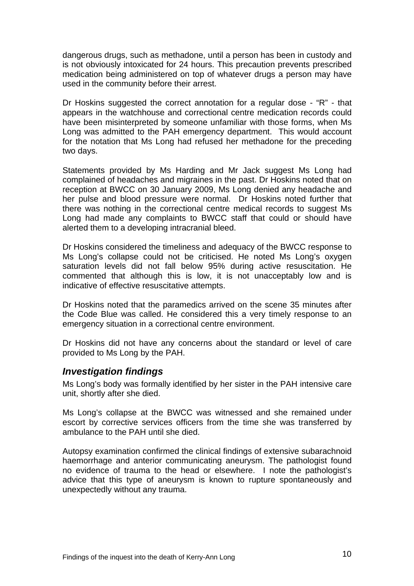dangerous drugs, such as methadone, until a person has been in custody and is not obviously intoxicated for 24 hours. This precaution prevents prescribed medication being administered on top of whatever drugs a person may have used in the community before their arrest.

Dr Hoskins suggested the correct annotation for a regular dose - "R" - that appears in the watchhouse and correctional centre medication records could have been misinterpreted by someone unfamiliar with those forms, when Ms Long was admitted to the PAH emergency department. This would account for the notation that Ms Long had refused her methadone for the preceding two days.

Statements provided by Ms Harding and Mr Jack suggest Ms Long had complained of headaches and migraines in the past. Dr Hoskins noted that on reception at BWCC on 30 January 2009, Ms Long denied any headache and her pulse and blood pressure were normal. Dr Hoskins noted further that there was nothing in the correctional centre medical records to suggest Ms Long had made any complaints to BWCC staff that could or should have alerted them to a developing intracranial bleed.

Dr Hoskins considered the timeliness and adequacy of the BWCC response to Ms Long's collapse could not be criticised. He noted Ms Long's oxygen saturation levels did not fall below 95% during active resuscitation. He commented that although this is low, it is not unacceptably low and is indicative of effective resuscitative attempts.

Dr Hoskins noted that the paramedics arrived on the scene 35 minutes after the Code Blue was called. He considered this a very timely response to an emergency situation in a correctional centre environment.

Dr Hoskins did not have any concerns about the standard or level of care provided to Ms Long by the PAH.

#### *Investigation findings*

Ms Long's body was formally identified by her sister in the PAH intensive care unit, shortly after she died.

Ms Long's collapse at the BWCC was witnessed and she remained under escort by corrective services officers from the time she was transferred by ambulance to the PAH until she died.

Autopsy examination confirmed the clinical findings of extensive subarachnoid haemorrhage and anterior communicating aneurysm. The pathologist found no evidence of trauma to the head or elsewhere. I note the pathologist's advice that this type of aneurysm is known to rupture spontaneously and unexpectedly without any trauma.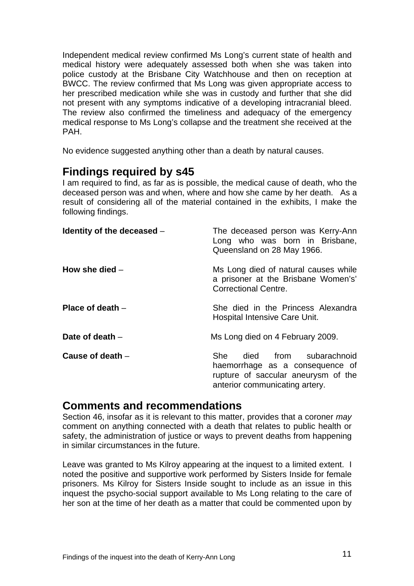Independent medical review confirmed Ms Long's current state of health and medical history were adequately assessed both when she was taken into police custody at the Brisbane City Watchhouse and then on reception at BWCC. The review confirmed that Ms Long was given appropriate access to her prescribed medication while she was in custody and further that she did not present with any symptoms indicative of a developing intracranial bleed. The review also confirmed the timeliness and adequacy of the emergency medical response to Ms Long's collapse and the treatment she received at the PAH.

No evidence suggested anything other than a death by natural causes.

# **Findings required by s45**

I am required to find, as far as is possible, the medical cause of death, who the deceased person was and when, where and how she came by her death. As a result of considering all of the material contained in the exhibits, I make the following findings.

| Identity of the deceased - | The deceased person was Kerry-Ann<br>Long who was born in Brisbane,<br>Queensland on 28 May 1966.                                      |
|----------------------------|----------------------------------------------------------------------------------------------------------------------------------------|
| How she died $-$           | Ms Long died of natural causes while<br>a prisoner at the Brisbane Women's'<br><b>Correctional Centre.</b>                             |
| Place of death $-$         | She died in the Princess Alexandra<br>Hospital Intensive Care Unit.                                                                    |
| Date of death $-$          | Ms Long died on 4 February 2009.                                                                                                       |
| Cause of death $-$         | She died from subarachnoid<br>haemorrhage as a consequence of<br>rupture of saccular aneurysm of the<br>anterior communicating artery. |

### **Comments and recommendations**

Section 46, insofar as it is relevant to this matter, provides that a coroner *may*  comment on anything connected with a death that relates to public health or safety, the administration of justice or ways to prevent deaths from happening in similar circumstances in the future.

Leave was granted to Ms Kilroy appearing at the inquest to a limited extent. I noted the positive and supportive work performed by Sisters Inside for female prisoners. Ms Kilroy for Sisters Inside sought to include as an issue in this inquest the psycho-social support available to Ms Long relating to the care of her son at the time of her death as a matter that could be commented upon by